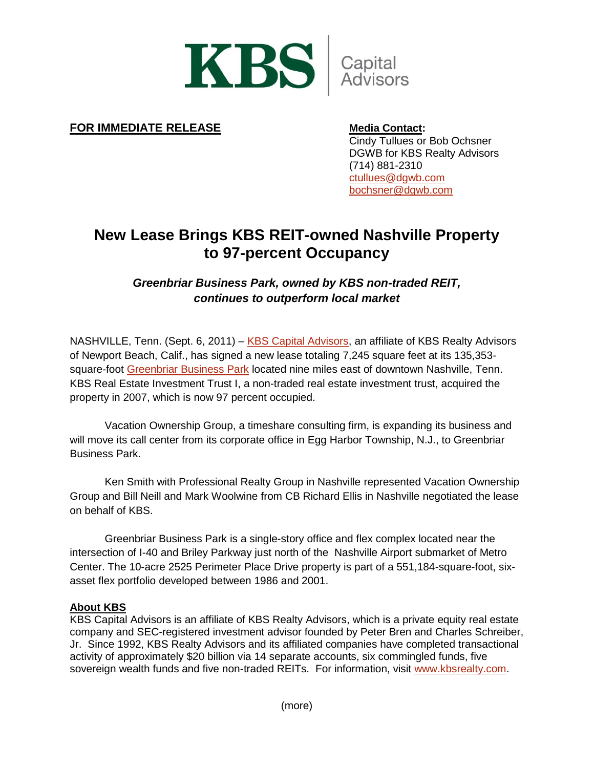

## **FOR IMMEDIATE RELEASE Media Contact:**

Cindy Tullues or Bob Ochsner DGWB for KBS Realty Advisors (714) 881-2310 [ctullues@dgwb.com](mailto:ctullues@dgwb.com) [bochsner@dgwb.com](mailto:bochsner@dgwb.com)

# **New Lease Brings KBS REIT-owned Nashville Property to 97-percent Occupancy**

# *Greenbriar Business Park, owned by KBS non-traded REIT, continues to outperform local market*

NASHVILLE, Tenn. (Sept. 6, 2011) – [KBS Capital Advisors,](http://www.kbsrealty.com/realty_advisors.html) an affiliate of KBS Realty Advisors of Newport Beach, Calif., has signed a new lease totaling 7,245 square feet at its 135,353- square-foot [Greenbriar Business Park](http://properties.kbsrealty.com/Asset_Detail.aspx?id=72) located nine miles east of downtown Nashville, Tenn. KBS Real Estate Investment Trust I, a non-traded real estate investment trust, acquired the property in 2007, which is now 97 percent occupied.

Vacation Ownership Group, a timeshare consulting firm, is expanding its business and will move its call center from its corporate office in Egg Harbor Township, N.J., to Greenbriar Business Park.

Ken Smith with Professional Realty Group in Nashville represented Vacation Ownership Group and Bill Neill and Mark Woolwine from CB Richard Ellis in Nashville negotiated the lease on behalf of KBS.

Greenbriar Business Park is a single-story office and flex complex located near the intersection of I-40 and Briley Parkway just north of the Nashville Airport submarket of Metro Center. The 10-acre 2525 Perimeter Place Drive property is part of a 551,184-square-foot, sixasset flex portfolio developed between 1986 and 2001.

### **About KBS**

KBS Capital Advisors is an affiliate of KBS Realty Advisors, which is a private equity real estate company and SEC-registered investment advisor founded by Peter Bren and Charles Schreiber, Jr. Since 1992, KBS Realty Advisors and its affiliated companies have completed transactional activity of approximately \$20 billion via 14 separate accounts, six commingled funds, five sovereign wealth funds and five non-traded REITs. For information, visit [www.kbsrealty.com.](http://www.kbsrealty.com/)